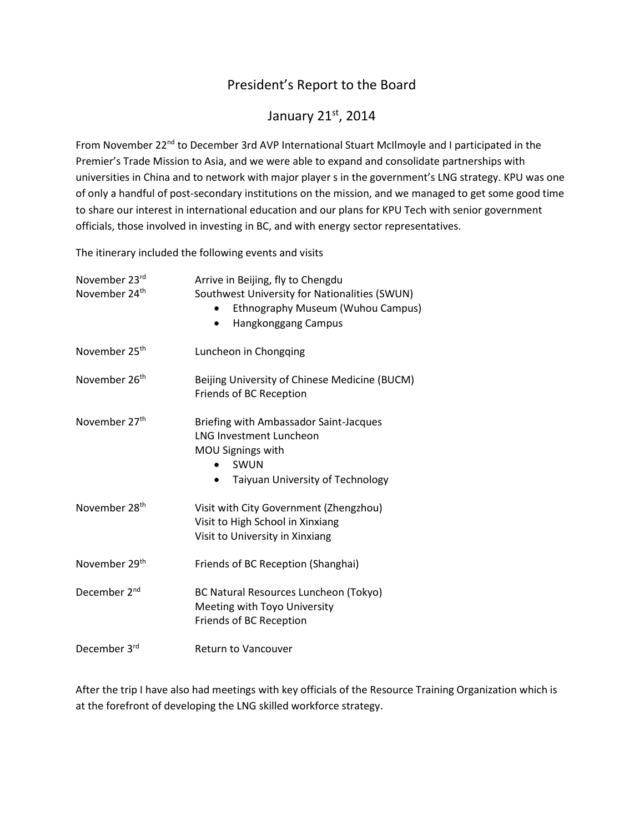## President's Report to the Board

## January 21st, 2014

From November 22<sup>nd</sup> to December 3rd AVP International Stuart McIlmoyle and I participated in the Premier's Trade Mission to Asia, and we were able to expand and consolidate partnerships with universities in China and to network with major player s in the government's LNG strategy. KPU was one of only a handful of post-secondary institutions on the mission, and we managed to get some good time to share our interest in international education and our plans for KPU Tech with senior government officials, those involved in investing in BC, and with energy sector representatives.

The itinerary included the following events and visits

| November 23rd<br>November 24 <sup>th</sup> | Arrive in Beijing, fly to Chengdu<br>Southwest University for Nationalities (SWUN)<br>Ethnography Museum (Wuhou Campus)<br>Hangkonggang Campus<br>٠    |
|--------------------------------------------|--------------------------------------------------------------------------------------------------------------------------------------------------------|
| November 25 <sup>th</sup>                  | Luncheon in Chongqing                                                                                                                                  |
| November 26 <sup>th</sup>                  | Beijing University of Chinese Medicine (BUCM)<br>Friends of BC Reception                                                                               |
| November 27th                              | Briefing with Ambassador Saint-Jacques<br><b>LNG Investment Luncheon</b><br>MOU Signings with<br>SWUN<br>Taiyuan University of Technology<br>$\bullet$ |
| November 28 <sup>th</sup>                  | Visit with City Government (Zhengzhou)<br>Visit to High School in Xinxiang<br>Visit to University in Xinxiang                                          |
| November 29 <sup>th</sup>                  | Friends of BC Reception (Shanghai)                                                                                                                     |
| December 2 <sup>nd</sup>                   | BC Natural Resources Luncheon (Tokyo)<br>Meeting with Toyo University<br>Friends of BC Reception                                                       |
| December 3rd                               | <b>Return to Vancouver</b>                                                                                                                             |

After the trip I have also had meetings with key officials of the Resource Training Organization which is at the forefront of developing the LNG skilled workforce strategy.